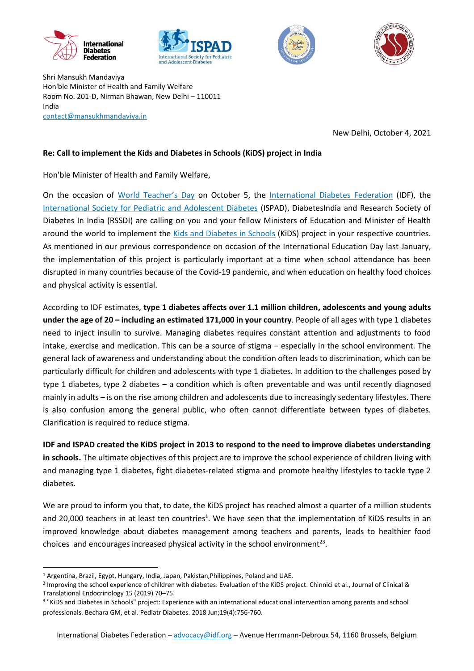







Shri Mansukh Mandaviya Hon'ble Minister of Health and Family Welfare Room No. 201-D, Nirman Bhawan, New Delhi – 110011 India [contact@mansukhmandaviya.in](mailto:contact@mansukhmandaviya.in)

New Delhi, October 4, 2021

## **Re: Call to implement the Kids and Diabetes in Schools (KiDS) project in India**

Hon'ble Minister of Health and Family Welfare,

On the occasion of [World Teacher's Day](https://en.unesco.org/commemorations/worldteachersday) on October 5, the [International Diabetes Federation](https://idf.org/) (IDF), the [International Society for Pediatric and Adolescent Diabetes](https://www.ispad.org/) (ISPAD), DiabetesIndia and Research Society of Diabetes In India (RSSDI) are calling on you and your fellow Ministers of Education and Minister of Health around the world to implement the [Kids and Diabetes in Schools](https://kids.idf.org/) (KiDS) project in your respective countries. As mentioned in our previous correspondence on occasion of the International Education Day last January, the implementation of this project is particularly important at a time when school attendance has been disrupted in many countries because of the Covid-19 pandemic, and when education on healthy food choices and physical activity is essential.

According to IDF estimates, **type 1 diabetes affects over 1.1 million children, adolescents and young adults under the age of 20 – including an estimated 171,000 in your country**. People of all ages with type 1 diabetes need to inject insulin to survive. Managing diabetes requires constant attention and adjustments to food intake, exercise and medication. This can be a source of stigma – especially in the school environment. The general lack of awareness and understanding about the condition often leads to discrimination, which can be particularly difficult for children and adolescents with type 1 diabetes. In addition to the challenges posed by type 1 diabetes, type 2 diabetes – a condition which is often preventable and was until recently diagnosed mainly in adults – is on the rise among children and adolescents due to increasingly sedentary lifestyles. There is also confusion among the general public, who often cannot differentiate between types of diabetes. Clarification is required to reduce stigma.

**IDF and ISPAD created the KiDS project in 2013 to respond to the need to improve diabetes understanding in schools.** The ultimate objectives of this project are to improve the school experience of children living with and managing type 1 diabetes, fight diabetes-related stigma and promote healthy lifestyles to tackle type 2 diabetes.

We are proud to inform you that, to date, the KiDS project has reached almost a quarter of a million students and 20,000 teachers in at least ten countries<sup>1</sup>. We have seen that the implementation of KiDS results in an improved knowledge about diabetes management among teachers and parents, leads to healthier food choices and encourages increased physical activity in the school environment<sup>23</sup>.

 $\overline{a}$ 

<sup>&</sup>lt;sup>1</sup> Argentina, Brazil, Egypt, Hungary, India, Japan, Pakistan, Philippines, Poland and UAE.

<sup>&</sup>lt;sup>2</sup> Improving the school experience of children with diabetes: Evaluation of the KiDS project. Chinnici et al., Journal of Clinical & Translational Endocrinology 15 (2019) 70–75.

<sup>3</sup> "KiDS and Diabetes in Schools" project: Experience with an international educational intervention among parents and school professionals. Bechara GM, et al. Pediatr Diabetes. 2018 Jun;19(4):756-760.